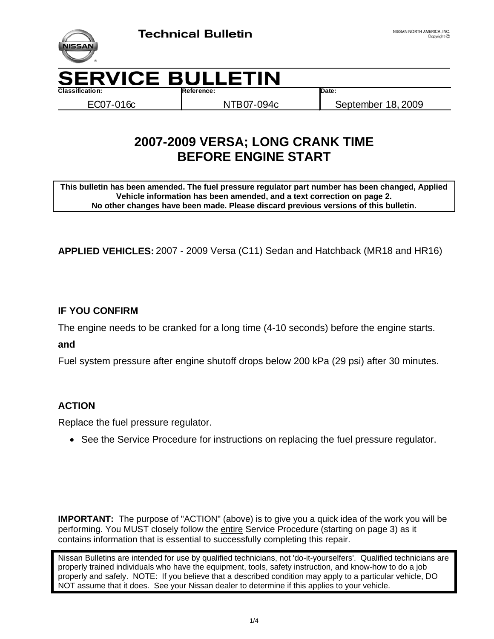

**Classification: Reference: Date:**

EC07-016c NTB07-094c September 18, 2009

# **2007-2009 VERSA; LONG CRANK TIME BEFORE ENGINE START**

**This bulletin has been amended. The fuel pressure regulator part number has been changed, Applied Vehicle information has been amended, and a text correction on page 2. No other changes have been made. Please discard previous versions of this bulletin.** 

**APPLIED VEHICLES:** 2007 - 2009 Versa (C11) Sedan and Hatchback (MR18 and HR16)

## **IF YOU CONFIRM**

The engine needs to be cranked for a long time (4-10 seconds) before the engine starts.

**and** 

Fuel system pressure after engine shutoff drops below 200 kPa (29 psi) after 30 minutes.

#### **ACTION**

Replace the fuel pressure regulator.

• See the Service Procedure for instructions on replacing the fuel pressure regulator.

**IMPORTANT:** The purpose of "ACTION" (above) is to give you a quick idea of the work you will be performing. You MUST closely follow the entire Service Procedure (starting on page 3) as it contains information that is essential to successfully completing this repair.

Nissan Bulletins are intended for use by qualified technicians, not 'do-it-yourselfers'. Qualified technicians are properly trained individuals who have the equipment, tools, safety instruction, and know-how to do a job properly and safely. NOTE: If you believe that a described condition may apply to a particular vehicle, DO NOT assume that it does. See your Nissan dealer to determine if this applies to your vehicle.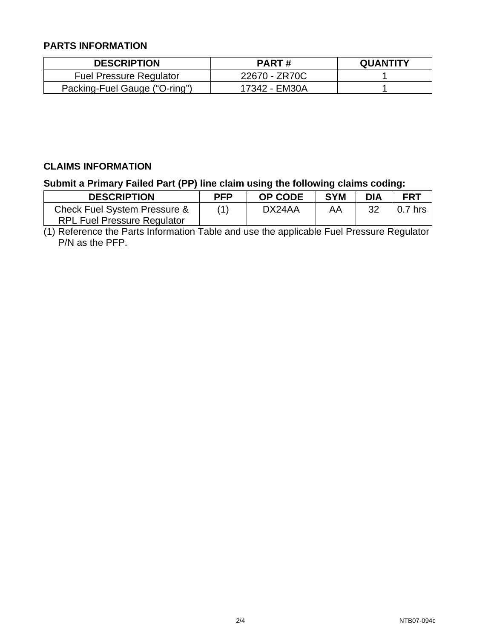### **PARTS INFORMATION**

| <b>DESCRIPTION</b>             | <b>PART#</b>  | <b>QUANTITY</b> |
|--------------------------------|---------------|-----------------|
| <b>Fuel Pressure Regulator</b> | 22670 - ZR70C |                 |
| Packing-Fuel Gauge ("O-ring")  | 17342 - EM30A |                 |

## **CLAIMS INFORMATION**

**Submit a Primary Failed Part (PP) line claim using the following claims coding:** 

| <b>DESCRIPTION</b>                 | <b>PFP</b> | <b>OP CODE</b> | <b>SYM</b> | <b>DIA</b> | <b>FRT</b> |
|------------------------------------|------------|----------------|------------|------------|------------|
| Check Fuel System Pressure &       | (1)        | DX24AA         | AΑ         | 32         | 0.7 hrs    |
| <b>RPL Fuel Pressure Regulator</b> |            |                |            |            |            |

(1) Reference the Parts Information Table and use the applicable Fuel Pressure Regulator P/N as the PFP.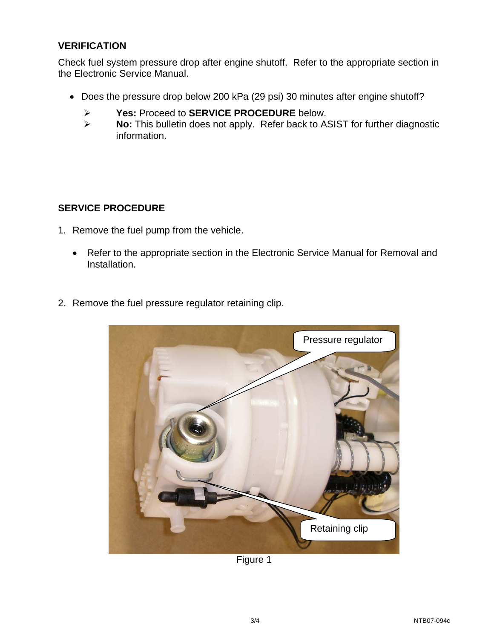#### **VERIFICATION**

Check fuel system pressure drop after engine shutoff. Refer to the appropriate section in the Electronic Service Manual.

- Does the pressure drop below 200 kPa (29 psi) 30 minutes after engine shutoff?
	- ¾ **Yes:** Proceed to **SERVICE PROCEDURE** below.
	- ¾ **No:** This bulletin does not apply. Refer back to ASIST for further diagnostic information.

#### **SERVICE PROCEDURE**

- 1. Remove the fuel pump from the vehicle.
	- Refer to the appropriate section in the Electronic Service Manual for Removal and Installation.
- 2. Remove the fuel pressure regulator retaining clip.



Figure 1